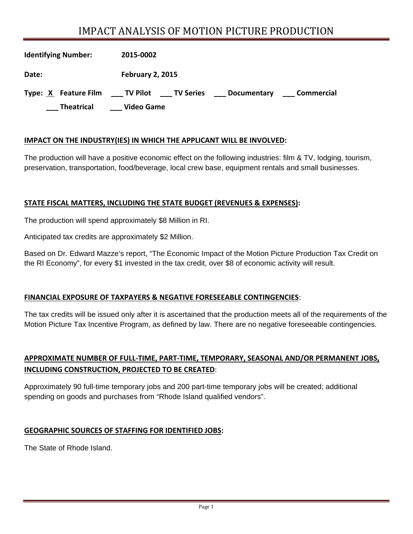# IMPACT ANALYSIS OF MOTION PICTURE PRODUCTION

| <b>Identifying Number:</b> | 2015-0002                                                          |
|----------------------------|--------------------------------------------------------------------|
| Date:                      | <b>February 2, 2015</b>                                            |
| Type: X Feature Film       | ___ TV Pilot<br>____ TV Series<br>Commercial<br><b>Documentary</b> |
| <b>Theatrical</b>          | <b>Video Game</b>                                                  |

#### **IMPACT ON THE INDUSTRY(IES) IN WHICH THE APPLICANT WILL BE INVOLVED:**

The production will have a positive economic effect on the following industries: film & TV, lodging, tourism, preservation, transportation, food/beverage, local crew base, equipment rentals and small businesses.

#### **STATE FISCAL MATTERS, INCLUDING THE STATE BUDGET (REVENUES & EXPENSES):**

The production will spend approximately \$8 Million in RI.

Anticipated tax credits are approximately \$2 Million.

Based on Dr. Edward Mazze's report, "The Economic Impact of the Motion Picture Production Tax Credit on the RI Economy", for every \$1 invested in the tax credit, over \$8 of economic activity will result.

#### **FINANCIAL EXPOSURE OF TAXPAYERS & NEGATIVE FORESEEABLE CONTINGENCIES**:

The tax credits will be issued only after it is ascertained that the production meets all of the requirements of the Motion Picture Tax Incentive Program, as defined by law. There are no negative foreseeable contingencies.

## **APPROXIMATE NUMBER OF FULL‐TIME, PART‐TIME, TEMPORARY, SEASONAL AND/OR PERMANENT JOBS, INCLUDING CONSTRUCTION, PROJECTED TO BE CREATED**:

Approximately 90 full-time temporary jobs and 200 part-time temporary jobs will be created; additional spending on goods and purchases from "Rhode Island qualified vendors".

#### **GEOGRAPHIC SOURCES OF STAFFING FOR IDENTIFIED JOBS:**

The State of Rhode Island.